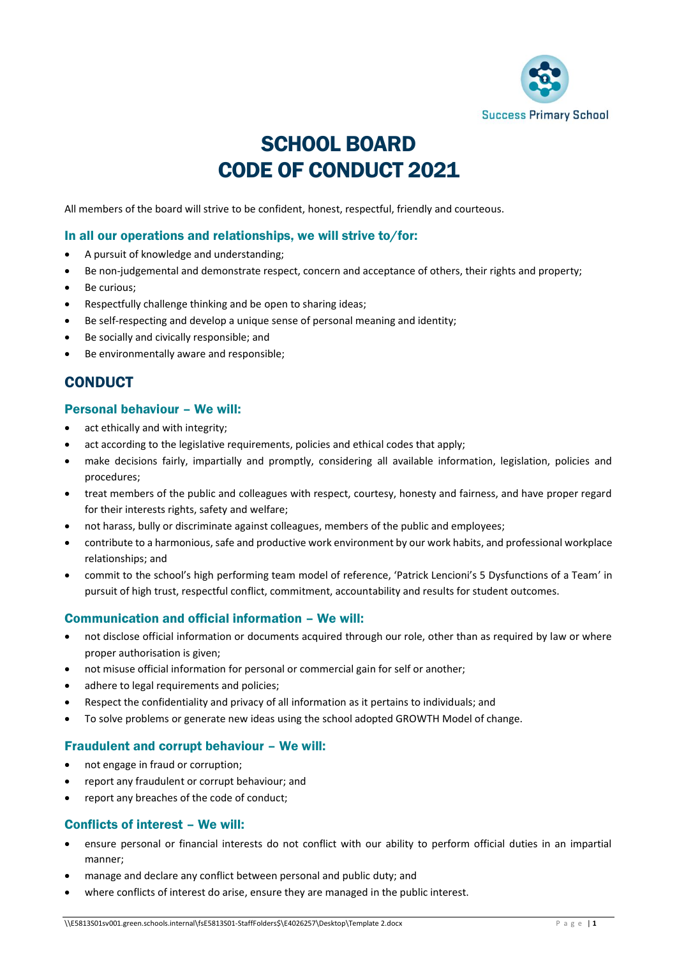

# SCHOOL BOARD CODE OF CONDUCT 2021

All members of the board will strive to be confident, honest, respectful, friendly and courteous.

#### In all our operations and relationships, we will strive to/for:

- A pursuit of knowledge and understanding;
- Be non-judgemental and demonstrate respect, concern and acceptance of others, their rights and property;
- Be curious;
- Respectfully challenge thinking and be open to sharing ideas;
- Be self-respecting and develop a unique sense of personal meaning and identity;
- Be socially and civically responsible; and
- Be environmentally aware and responsible;

## **CONDUCT**

#### Personal behaviour – We will:

- act ethically and with integrity:
- act according to the legislative requirements, policies and ethical codes that apply;
- make decisions fairly, impartially and promptly, considering all available information, legislation, policies and procedures;
- treat members of the public and colleagues with respect, courtesy, honesty and fairness, and have proper regard for their interests rights, safety and welfare;
- not harass, bully or discriminate against colleagues, members of the public and employees;
- contribute to a harmonious, safe and productive work environment by our work habits, and professional workplace relationships; and
- commit to the school's high performing team model of reference, 'Patrick Lencioni's 5 Dysfunctions of a Team' in pursuit of high trust, respectful conflict, commitment, accountability and results for student outcomes.

#### Communication and official information – We will:

- not disclose official information or documents acquired through our role, other than as required by law or where proper authorisation is given;
- not misuse official information for personal or commercial gain for self or another;
- adhere to legal requirements and policies;
- Respect the confidentiality and privacy of all information as it pertains to individuals; and
- To solve problems or generate new ideas using the school adopted GROWTH Model of change.

#### Fraudulent and corrupt behaviour – We will:

- not engage in fraud or corruption;
- report any fraudulent or corrupt behaviour; and
- report any breaches of the code of conduct;

#### Conflicts of interest – We will:

- ensure personal or financial interests do not conflict with our ability to perform official duties in an impartial manner;
- manage and declare any conflict between personal and public duty; and
- where conflicts of interest do arise, ensure they are managed in the public interest.